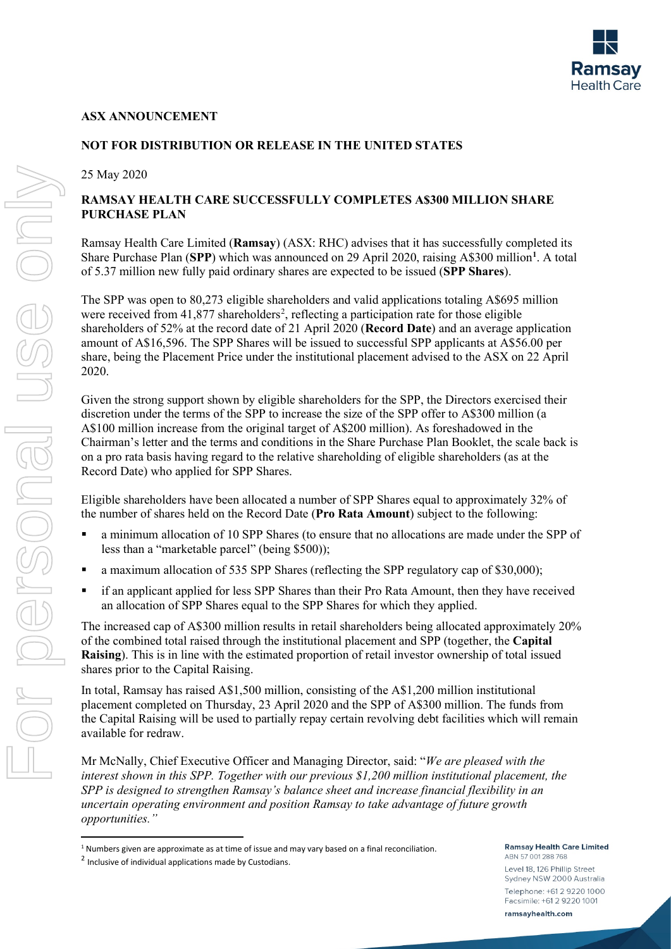

### **ASX ANNOUNCEMENT**

# **NOT FOR DISTRIBUTION OR RELEASE IN THE UNITED STATES**

25 May 2020

# **RAMSAY HEALTH CARE SUCCESSFULLY COMPLETES A\$300 MILLION SHARE PURCHASE PLAN**

Ramsay Health Care Limited (**Ramsay**) (ASX: RHC) advises that it has successfully completed its Share Purchase Plan (**SPP**) which was announced on 29 April 2020, raising A\$300 million**[1](#page-0-0)** . A total of 5.37 million new fully paid ordinary shares are expected to be issued (**SPP Shares**).

The SPP was open to 80,273 eligible shareholders and valid applications totaling A\$695 million were received from  $41,877$  shareholders<sup>[2](#page-0-1)</sup>, reflecting a participation rate for those eligible shareholders of 52% at the record date of 21 April 2020 (**Record Date**) and an average application amount of A\$16,596. The SPP Shares will be issued to successful SPP applicants at A\$56.00 per share, being the Placement Price under the institutional placement advised to the ASX on 22 April 2020.

Given the strong support shown by eligible shareholders for the SPP, the Directors exercised their discretion under the terms of the SPP to increase the size of the SPP offer to A\$300 million (a A\$100 million increase from the original target of A\$200 million). As foreshadowed in the Chairman's letter and the terms and conditions in the Share Purchase Plan Booklet, the scale back is on a pro rata basis having regard to the relative shareholding of eligible shareholders (as at the Record Date) who applied for SPP Shares.

Eligible shareholders have been allocated a number of SPP Shares equal to approximately 32% of the number of shares held on the Record Date (**Pro Rata Amount**) subject to the following:

- a minimum allocation of 10 SPP Shares (to ensure that no allocations are made under the SPP of less than a "marketable parcel" (being \$500));
- a maximum allocation of 535 SPP Shares (reflecting the SPP regulatory cap of \$30,000);
- if an applicant applied for less SPP Shares than their Pro Rata Amount, then they have received an allocation of SPP Shares equal to the SPP Shares for which they applied.

The increased cap of A\$300 million results in retail shareholders being allocated approximately 20% of the combined total raised through the institutional placement and SPP (together, the **Capital Raising**). This is in line with the estimated proportion of retail investor ownership of total issued shares prior to the Capital Raising.

In total, Ramsay has raised A\$1,500 million, consisting of the A\$1,200 million institutional placement completed on Thursday, 23 April 2020 and the SPP of A\$300 million. The funds from the Capital Raising will be used to partially repay certain revolving debt facilities which will remain available for redraw.

Mr McNally, Chief Executive Officer and Managing Director, said: "*We are pleased with the interest shown in this SPP. Together with our previous \$1,200 million institutional placement, the SPP is designed to strengthen Ramsay's balance sheet and increase financial flexibility in an uncertain operating environment and position Ramsay to take advantage of future growth opportunities."*

**Ramsay Health Care Limited** 

ABN 57 001 288 768 Level 18, 126 Phillip Street Sydney NSW 2000 Australia Telephone: +61 2 9220 1000 Facsimile: +61 2 9220 1001 ramsayhealth.com

<span id="page-0-0"></span> $1$  Numbers given are approximate as at time of issue and may vary based on a final reconciliation.

<span id="page-0-1"></span><sup>2</sup> Inclusive of individual applications made by Custodians.